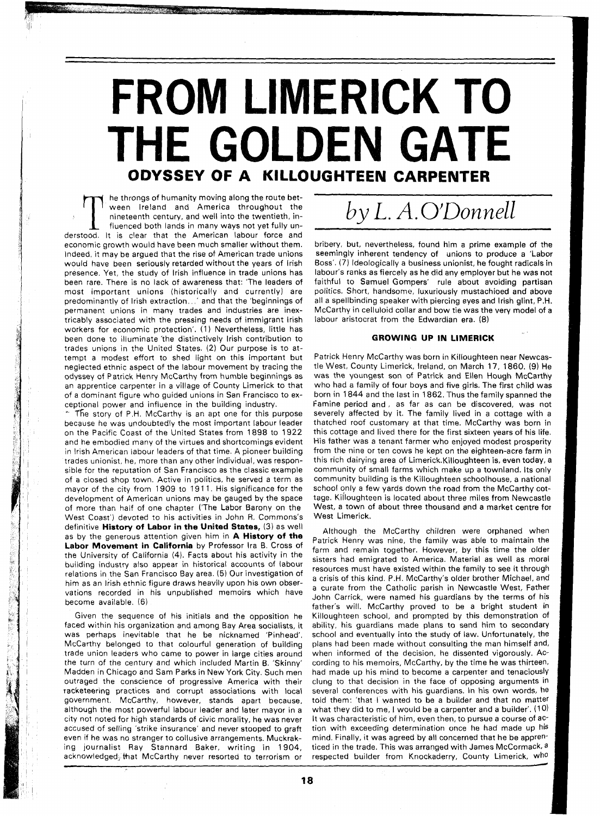# **FROM LIMERICK TO** THE GOLDEN GATE **ODYSSEY OF A KILLOUGHTEEN CARPENTER**

The throngs of humanity moving along the route bet-<br>ween Ireland and America throughout the<br>nineteenth century, and well into the twentieth, in-<br>fluenced both lands in many ways not yet fully un-<br>ood. It is clear that the he throngs of humanity moving along the route bet-<br>ween Ireland and America throughout the nineteenth century, and well into the twentieth, influenced both lands in many ways not yet fully understood. It is clear that the American labour force and economic growth would have been much smaller without them. Indeed, it may be argued that the rise of American trade unions would have been seriously retarded without the years of lrish presence. Yet, the study of lrish influence in trade unions has been rare. There is no lack of awareness that: 'The leaders of most important unions (historically and currently) are predominantly of Irish extraction...' and that the 'beginnings of permanent unions in many trades and industries are inextricably associated with the pressing needs of immigrant lrish workers for economic protection'. (1) Nevertheless, little has been done to illuminate 'the distinctively lrish contribution to trades unions in the United States. (2) Our purpose is to attempt a modest effort to shed light on this important but neglected ethnic aspect of the labour movement by tracing the odyssey of Patrick Henry McCarthy from humble beginnings as an apprentice carpenter in a village of County Limerick to that of a dominant figure who guided unions in San Francisco to ex-<br>ceptional power and influence in the building industry.

The story of P.H. McCarthy is an apt one for this purpose because he was undoubtedly the most important labour leader on the Pacific Coast of the United States from 1898 to 1922 and he embodied many of the virtues and shortcomings evident in lrish American labour leaders of that time. A pioneer building trades unionist, he, more than any other individual, was responsible for the reputation of San Francisco as the classic example of a closed shop town. Active in politics, he served a term as mayor of the city from 1909 to 1911. His significance for the development of American unions may be gauged by the space of more than half of one chapter ('The Labor Barony on the West Coast') devoted to his activities in John H. Commons's definitive **History of Labor in the United States, (3)** as well as by the generous attention given him in **A History of the Labor Movement in California** by Professor Ira B. Cross of the University of California (4). Facts about his activity in the building industry also appear in historical accounts of labour relations in the San Francisco Bay area. (5) Our investigation of him as an lrish ethnic figure draws heavily upon his own observations recorded in his unpublished memoirs which have become available. (6)

Given the sequence of his initials and the opposition he faced within his organization and among Bay Area socialists, it was perhaps inevitable that he be nicknamed 'Pinhead'. McCarthy belonged to that colourful generation of building trade union leaders who came to power in large cities around the turn of the century and which included Martin B. 'Skinny' Madden in Chicago and Sam Parks in New York City. Such men outraged the conscience of progressive America with their racketeering practices and corrupt associations with loca\ government. McCarthy, however, stands apart because, although the most powerful labour leader and later mayor in a city not noted for high standards of civic morality, he was never accused of selling 'strike insurance' and never stooped to graft even if he was no stranger to collusive arrangements. Muckraking journalist Ray Stannard Baker, writing in 1904, acknowledged, that McCarthy never resorted to terrorism or

## by L. A.O'Donnell

bribery, but, nevertheless, found him a prime example of the seemingly inherent tendency of unions to produce a 'Labor Boss'. (7) Ideologically a business unionist, he fought radicals in labour's ranks as fiercely as he did any employer but he was not faithful to Samuel Gompers' rule about avoiding partisan politics. Short, handsome, luxuriously mustachioed and above all a spellbinding speaker with piercing eyes and lrish glint, P.H. McCarthy in celluloid collar and bow tie was the very model of a labour aristocrat from the Edwardian era. (8)

### **GROWING UP IN LIMERICK**

Patrick Henry McCarthy was born in Killoughteen near Newcastle West, County Limerick, Ireland, on March 17, 1860. (9) He was the youngest son of Patrick and Ellen Hough McCarthy who had a family of four boys and five girls. The first child was born in 1844 and the last in 1862. Thus the family spanned the Famine period and, as far as can be discovered, was not severely affected by it. The family lived in a cottage with a thatched roof customary at that time. McCarthy was born in this cottage and lived there for the first sixteen years of his life. His father was a tenant farmer who enjoyed modest prosperity from the nine or ten cows he kept on the eighteen-acre farm in this rich dairying area of Limerick.Killoughteen is, even today, a community of small farms which make up a townland. Its only community building is the Killoughteen schoolhouse, a national school only a few vards down the road from the McCarthy cottage. Killoughteen is located about three miles from Newcastle West, a town of about three thousand and a market centre for West Limerick.

Although the McCarthy children were orphaned when Patrick Henry was nine, the family was able to maintain the farm and remain together. However, by this time the older sisters had emigrated to America. Material as well as moral resources must have existed within the family to see it through a crisis of this kind. P.H. McCarthy's older brother Michael, and a curate from the Catholic parish in Newcastle West, Father John Carrick, were named his guardians by the terms of his father's will. McCarthy proved to be a bright student in Killoughteen school, and prompted by this demonstration of ability, his guardians made plans to send him to secondary school and eventually into the study of law. Unfortunately, the plans had been made without consulting the man himself and, when informed of the decision, he dissented vigorously. According to his memoirs, McCarthy, by the time he was thirteen, had made up his mind to become a carpenter and tenaciously clung to that decision in the face of opposing arguments in several conferences with his guardians. In his own words, he told them: 'that I wanted to be a builder and that no matter what they did to me, I would be a carpenter and a builder'. (10) It was characteristic of him, even then, to pursue a course of action with exceeding determination once he had made up his mind. Finally, it was agreed by all concerned that he be apprenticed in the trade. This was arranged with James McCormack, **a**  respected builder from Knockaderry, County Limerick, who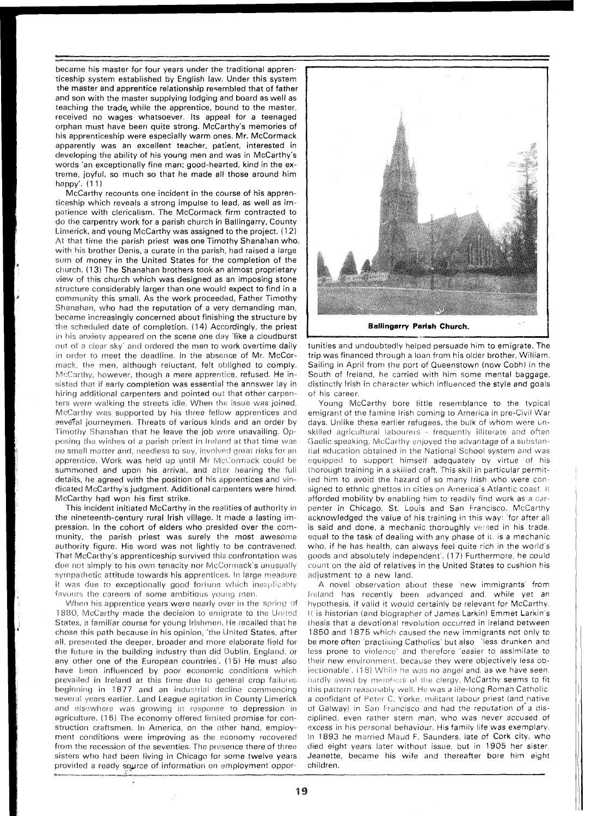became his master for four years under the traditional apprenticeship system established by English law. Under this system the master and apprentice relationship recembled that of father and son with the master supplying lodging and board as well as teaching the trade, while the apprentice, bound to the master, received no wages whatsoever. Its appeal for a teenaged orphan must have been quite strong. McCarthy's memories of his apprenticeship were especially warm ones. Mr. McCormack apparently was an excellent teacher, patient, interested in developing the ability of his young men and was in McCarthy's words 'an exceptionally fine man; good-hearted, kind in the extreme, joyful, so much so that he made all those around him happy'. (1 **1)** 

McCarthy recounts one incident in the course of his apprenticeship which reveals a strong impulse to lead, as well as impatience with clericalism. The McCormack firm contracted to do the carpentry work for a parish church in Ballingarry, County Limerick, and young McCarthy was assigned to the project. (12) At that time the parish priest was one Timothy Shanahan who, with his brother Denis, a curate in the parish, had raised a large sum of money in the United States for the completion of the church. (13) The Shanahan brothers took an almost proprietary view of this church which was designed as an imposing stone structure considerably larger than one would expect to find in a community this small. As the work proceeded, Father Timothy Shanahan, who had the reputation of a very demanding man, became increasingly concerned about finishing the structure by the scheduled date of completion. (14) Accordingly, the priest in his anxiety appeared on the scene one day 'like a cloudburst out of a clear sky' and ordered the men to work overtime daily in-order to meet the deadline. In the absence of Mr. McCorrnack, the men, although reluctant, felt oblighed to comply. McCarthy, however, though a mere apprentice, refused. He insisted that if early completion was essential the annswer lay in hiring additional carpenters and pointed out that other carpenters were walking the streets idle. When the issue was joined, McCarthy was supported by his three fellow apprentices and several journeymen. Threats of various kinds and an order by Timothy Shanahan that he leave the job were unavailing. Opposing the wishes of a parish priest in Ireland at that time was no small matter and, needless to say, involved great risks for an apprentice. Work was held up until Mr McCormack could be summoned and upon his arrival, and after hearing the full detaiis, he agreed with the position of his apprentices and vindicated McGarthy's judgment. Additional carpenters were hired. McCarthy had won his first strike.

This incident initiated McCarthy in the reaiities of authority in the nineteenth-century rural lrish village. It made a lasting impression. in the cohort of elders who presided over the comrnunity, the parish priest was surely the most awesorne authority figure. His word was not lightly to be contravened. That McCarthy's apprenticeship survived this confrontation was due not simply to his own tenacity nor McCormack's unusually sympathetic attitude towards his apprentices. In large measure it was due to exceptionally good fortune which inexplicably favours the careers of some ambitious young men.

When his apprentice years were nearly over in the spring of 1880, McCarthy made the decision to emigrate to the United States, a familiar course for young Irishmen. He recalled that he chose this path because in his opinion, 'the United States, after all, presented the deeper, broader and more elaborate field for the future in the building industry than did Dublin, England, or any other one of the European countries'. (15) He must also have been influenced by poor economic conditions which prevailed in Ireland at this time due to general crop failures beginning in 1877 and an industrial decline commencing several years earlier. Land League agitation in County Limerick and elsewhere was growing in response to depression in agriculture. (16) The economy offered limited promise for construction craftsmen. In America, on the other hand, employrnent conditions were improving as the economy recovered from the recession of the seventies. The presence there of three sisters who had been living in Chicago for some twelve years provided a ready source of information on employment oppor-



**Ballingarry Parish Church.** 

tunities and undoubtedly helped persuade him to emigrate. The trip was financed through a loan from his older brother, William. Sailing in April from the port of Queenstown (now Cobh) in the South of Ireland, he carried with him some mental baggage, distinctly Irish in character which influenced the style and goals of his career.

Young McCarthy bore little resemblance to the typical emigrant of the famine Irish coming to America in pre-Civil War days. Unlike these earlier refugees, the bulk of whom were unskilled agricultural labourers - frequently illiterate and often Gaelic speaking, McCarthy enjoyed the advantage of a substantial education obtained in the National School system and was equipped to support himself adequately by virtue of his thorough training in a skilled craft. This skill in particular permitted him to avoid the hazard of so many Irish who were consigned to ethnic ghettos in cities on America's Atlantic coast. It afforded mobility by enabling him to readily find work as a car-penter in Chicago, St. Louis and San Francisco. McCarthy acknowledged the value of his training in this way: 'for after all is said and done, a mechanic thoroughly versed in his trade, equal to the task of dealing with any phase of it, is a mechanic who, if he has health, can always feel quite rich in the world's goods and absolutely independent'. (1 7) Furthermore, he could count on the aid of relatives in the United States to cushion his adjustment to a new land,

A novel observation about these 'new immigrants' from ireland has recently been advanced and, while yet an hypothesis, if valid it would certainly be relevant for McCarthy. It is historian (and biographer of James Larkin) Emmet Larkin's thesis that a devotional revolution occurred in Ireland between 1850 and 1875 which caused the new immigrants not only to be more often 'practising Catholics' but also liess drunken and less prone to violence<sup>-</sup> and therefore 'easier to assimilate to their new environment, because they were objectively less objectionable'. (18) While he was no angel and, as we have seen. hardly awed by members of the clergy, McCarthy seems to fit this pattern reasonably well. He was a life-long Roman Catholic. a confidant of Peter C. Yorke, militant labour priest (and native of Galway) in San Francisco and had the reputation of a disciplined, even ratner stern man, who was never accused of excess in his personal behaviour. His family life was exemplary. In 1893 he married Maud F. Saunders, late of Cork city, who died eight years later without issue, but in 1905 her sister. Jeanette, became his wife and thereafter bore him eight children.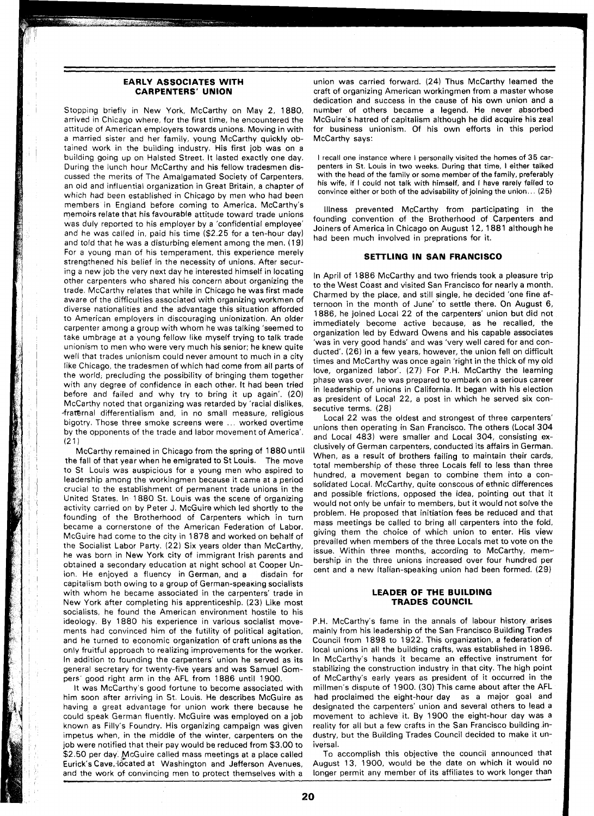#### **EARLY ASSOCIATES WITH CARPENTERS' UNION**

Stopping briefly in New York, McCarthy on May 2, 1880, arrived in Chicago where, for the first time, he encountered the attitude of American employers towards unions. Moving in with a married sister and her family, young McCarthy quickly obtained work in the building industry. His first job was on a building going up on Halsted Street. It lasted exactly one day. During the lunch hour McCarthy and his fellow tradesmen discussed the merits of The Amalgamated Society of Carpenters, an old and influential organization in Great Britain, a chapter of which had been established in Chicago by men who had been members in England before coming to America. McCarthy's memoirs relate that his favourable attitude toward trade unions was duly reported to his employer by a 'confidential employee' and he was called in, paid his time (\$2.25 for a ten-hour day) and told that he was a disturbing element among the men. (19) For a young man of his temperament, this experience merely strengthened his belief in the necessity of unions. After securing a new job the very next day he interested himself in locating other carpenters who shared his concern about organizing the trade. McCarthy relates that while in Chicggo he was first made aware of the difficulties associated with organizing workmen of diverse nationalities and the advantage this situation afforded to American employers in discouraging unionization. An older carpenter among a group with whom he was talking 'seemed to take umbrage at a young fellow like myself trying to talk trade unionism to men who were very much his senior; he knew quite well that trades unionism could never amount to much in a city like Chicago, the tradesmen of which had come from all parts of the world, precluding the possibility of bringing them together with any degree of confidence in each other. It had been tried before and failed and why try to bring it up again'. (20) McCarthy noted that organizing was retarded by 'racial dislikes, .fraErnal differentialism and, in no small measure, religious bigotry. Those three smoke screens were ... worked overtime by the opponents of the trade and labor movement of America'. (21)

McCarthy remained in Chicago from the spring of 1880 until the fall of that year when he emigrated to St Louis. The move to St Louis was auspicious for a young men who aspired to leadership among the workingmen because it came at a period crucial to the establishment of permanent trade unions in the United States. In 1880 St. Louis was the scene of organizing activity carried on by Peter J. McGuire which led shortly to the founding of the Brotherhood of Carpenters which in turn became a cornerstone of the American Federation of Labor. McGuire had come to the city in 1878 and worked on behalf of the Socialist Labor Party. (22) Six years older than McCarthy, he was born in New York city of immigrant Irish parents and obtained a secondary education at night school at Cooper Union. He enjoyed a fluency in German, and a disdain for capitalism both owing to a group of German-speaking socialists with whom he became associated in the carpenters' trade in New York after completing his apprenticeship. (23) Like most socialists, he found the American environment hostile to his ideology. By 1880 his experience in various socialist movements had convinced him of the futility of political agitation, and he turned to economic organization of craft unions as the only fruitful approach to realizing improvements for the worker. In addition to founding the carpenters' union he sewed as its general secretary for twenty-five years and was Samuel Gompers' good right arm in the AFL from 1886 until 1900.

It was McCarthy's good fortune to become associated with him soon after arriving in St. Louis. He describes McGuire as having a great advantage for union work there because he could speak German fluently. McGuire was employed on a job known as Filly's Foundry. His organizing campaign was given impetus when, in the middle of the winter, carpenters on the job were notified that their pay would be reduced from \$3.00 to \$2.50 per day. McGuire called mass meetings at a place called Eurick's Cave, located at Washington and Jefferson Avenues, and the work of convincing men to protect themselves with a

union was carried forward. (24) Thus McCarthy learned the craft of organizing American workingmen from a master whose dedication and success in the cause of his own union and a number of others became a legend. He never absorbed McGuire's hatred of capitalism although he did acquire his zeal for business unionism. Of his own efforts in this period McCarthy says:

I recall one instance where I personally visited the homes of 35 carpenters in St. Louis in two weeks. During that time, I either talked with the head of the family or some member of the family, preferably his wife, if I could not talk with himself, and I have rarely failed to convince either or both of the advisability of joining the union.. . **(25)** 

Illness prevented McCarthy from participating in the founding convention of the Brotherhood of Carpenters and Joiners of America in Chicago on August 12, 1881 although he had been much involved in preprations for it.

### **SETTLING IN SAN FRANCISCO**

In April of 1886 McCarthy and two friends took a pleasure trip to the West Coast and visited San Francisco for nearly a month. Charmed by the place, and still single, he decided 'one fine afternoon in the month of June' to settle there. On August 6, 1886, he joined Local 22 of the carpenters' union but did not immediately become active because, as he recalled, the organization led by Edward Owens and his capable associates 'was in very good hands' and was 'very well cared for and conducted'. (26) In a few years, however, the union fell on difficult times and McCarthy was once again 'right in the thick of my old love, organized labor'. (27) For P.H. McCarthy the learning phase was over, he was prepared to embark on a serious career in leadership of unions in California. It began with his election as president of Local 22, a post in which he served six consecutive terms. (28)

Local 22 was the oldest and strongest of three carpenters' unions then operating in San Francisco. The others (Local 304 and Local 483) were smaller and Local 304, consisting exclusively of German carpenters, conducted its affairs in German. When, as a result of brothers failing to maintain their cards, total membership of these three Locals fell to less than three hundred, a movement began to combine them into a consolidated Local. McCarthy, quite conscous of ethnic differences and possible frictions, opposed the idea, pointing out that it would not only be unfair to members, but it would not solve the problem. He proposed that initiation fees be reduced and that mass meetings be called to bring all carpenters into the fold, giving them the choice of which union to enter. His view prevailed when members of the three Locals met to vote on the issue. Within three months, according to McCarthy, membership in the three unions increased over four hundred per cent and a new Italian-speaking union had been formed. (29)

#### **LEADER OF THE BUILDING TRADES COUNCIL**

P.H. McCarthy's fame in the annals of labour history arises mainly from his leadership of the San Francisco Building Trades Council from 1898 to 1922. This organization, a federation of local unions in all the building crafts, was established in 1896. In McCarthy's hands it became an effective instrument for stabilizing the construction industry in that city. The high point of McCarthy's early years as president of it occurred in the millmen's dispute of 1900. (30) This came about after the AFL had proclaimed the eight-hour day as a major goal and designated the carpenters' union and several others to lead a movement to achieve it. By 1900 the eight-hour day was a reality for all but a few crafts in the San Francisco building industry, but the Building Trades Council decided to make it universal.

To accomplish this objective the council announced that August 13, 1900, would be the date on which it would no longer permit any member of its affiliates to work longer than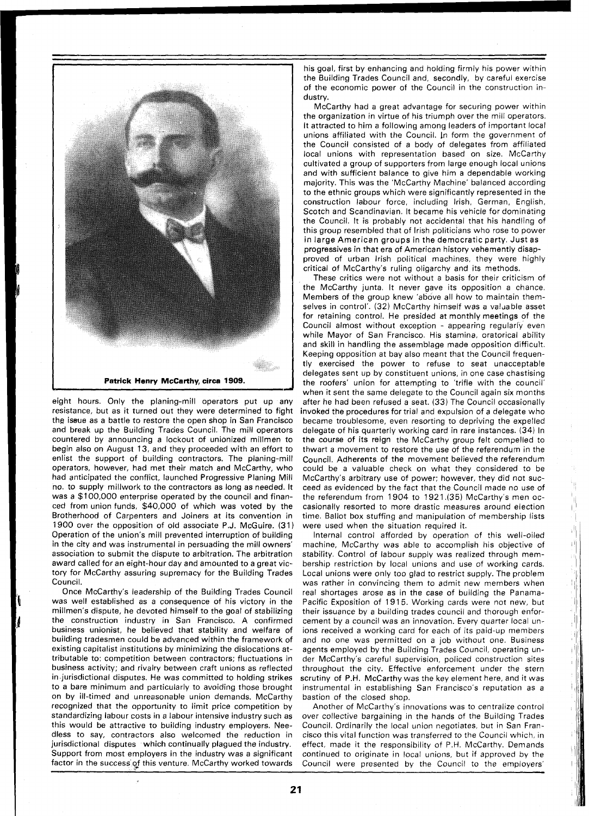

eight hours. Only the planing-mill operators put up any resistance, but as it turned out they were determined to fight the issue as a battle to restore the open shop in San Francisco and break up the Building Trades Council. The mill operators countered by announcing a lockout of unionized millmen to begin also on August 13, and they proceeded with an effort to enlist the support of building contractors. The planing-mill operators, however, had met their match and McCarthy, who had anticipated the conflict, launched Progressive Planing Mill no. to supply millwork to the contractors as long as needed. It was a \$100,000 enterprise operated by the council and financed from union funds, \$40,000 of which was voted by the Brotherhood of Carpenters and Joiners at its convention in 1900 over the opposition of old associate P.J. McGuire. (31) Operation of the union's mill prevented interruption of building in the city and was instrumental in persuading the mill owners' association to submit the dispute to arbitration. The arbitration award called for an eight-hour day and amounted to a great victory for McCarthy assuring supremacy for the Building Trades Council.

Once McCarthy's leadership of the Building Trades Council was well established as a consequence of his victory in the millmen's dispute, he devoted himself to the goal of stabilizing the construction industry in San Francisco. A confirmed business unionist, he believed that stability and welfare of building tradesmen could be advanced within the framework of existing capitalist institutions by minimizing the dislocations attributable to: competition between contractors; fluctuations in business activity; and rivalry between craft unions as reflected in jurisdictional disputes. He was committed to holding strikes to a bare minimum and particularly to avoiding those brought on by ill-timed and unreasonable union demands. McCarthy recognized that the opportunity to limit price competition by standardizing labour costs in a labour intensive industry such as this would be attractive to building industry employers. Needless to say, contractors also welcomed the reduction in jurisdictional disputes which continually plagued the industry. Support from most employers in the industry was a significant factor in the success of this venture. McCarthy worked towards

his goal, first by enhancing and holding firmly his power within the Building Trades Council and, secondly, by careful exercise of the economic power of the Council in the construction industry

McCarthy had a great advantage for securing power within the organization in virtue of his triumph over the mill operators. It attracted to him a following among leaders of important local unions affiliated with the Council. In form the government of the Council consisted of a body of delegates from affiliated local unions with representation based on size. McCarthy cultivated a group of supporters from large enough local unions and with sufficient balance to give him a dependable working majority. This was the 'McCarthy Machine' balanced according to the ethnic groups which were significantly represented in the construction labour force, including Irish. German, English, Scotch and Scandinavian. It became his vehicle for dominating the Council. It is probably not accidental that his handling of this group resembled that of lrish politicians who rose to power in large American groups in the democratic party. Just as progressives in that era of American history vehemently disapproved of urban lrish political machines, they were highly critical of McCarthy's ruling oligarchy and its methods.

These critics were not without a basis for their criticism of the McCarthy junta. It never gave its opposition a chance. Members of the group knew 'above all how to maintain themselves in control'. (32) McCarthy himself was a valuable asset for retaining control. He presided at monthly meetings of the Council almost without exception - appearing regularly even while Mayor of San Francisco. His stamina, oratorical ability and skill in handling the assemblage made opposition difficult. Keeping opposition at bay also meant that the Council frequently exercised the power to refuse to seat unacceptable delegates sent up by constituent unions, in one case chastising the roofers' union for attempting to 'trifle with the council' when it sent the same delegate to the Council again six months after he had been refused a seat. (33) The Council occasionally invoked the procedures for trial and expulsion of a delegate who became troublesome, even resorting to depriving the expelled delegate of his quarterly working card in rare instances. (34) In the course of its reign the McCarthy group felt compelled to thwart a movement to restore the use of the referendum in the Council. Adherents of the movement believed the referendum could be a valuable check on what they considered to be McCarthy's arbitrary use of power; however, they did not succeed as evidenced by the fact that the Council made no use of the referendum from 1904 to 1921.(35) McCarthy's men occasionally resorted to more drastic measures around election time. Ballot box stuffing and manipulation of membership lists were used when the situation required it.

Internal control afforded by operation of this well-oiled machine, McCarthy was able to accomplish his objective of stability. Control of labour supply was realized through membership restriction by local unions and use of working cards. Local unions were only too glad to restrict supply. The problem was rather in convincing them to admit new members when real shortages arose as in the case of building the Panama-Pacific Exposition of 1915. Working cards were not new, but their issuance by a building trades council and thorough enforcement by a council was an innovation. Every quarter local unions received a working card for each of its paid-up members and no one was permitted on a job without one. Business agents employed by the Building Trades Council, operating under McCarthy's careful supervision, policed construction sites throughout the city. Effective enforcement under the stern scrutiny of P.H. McCarthy was the key element here, and it was instrumental in establishing San Francisco's reputation as a bastion of the closed shop.

Another of McCarthy's innovations was to centralize control over collective bargaining in the hands of the Building Trades Council. Ordinarily the local union negotiates, but in San Francisco this vital function was transferred to the Council which, in effect, made it the responsibility of P.H. McCarthy. Demands continued to originate in local unions, but if approved by the Council were presented by the Council to the employers'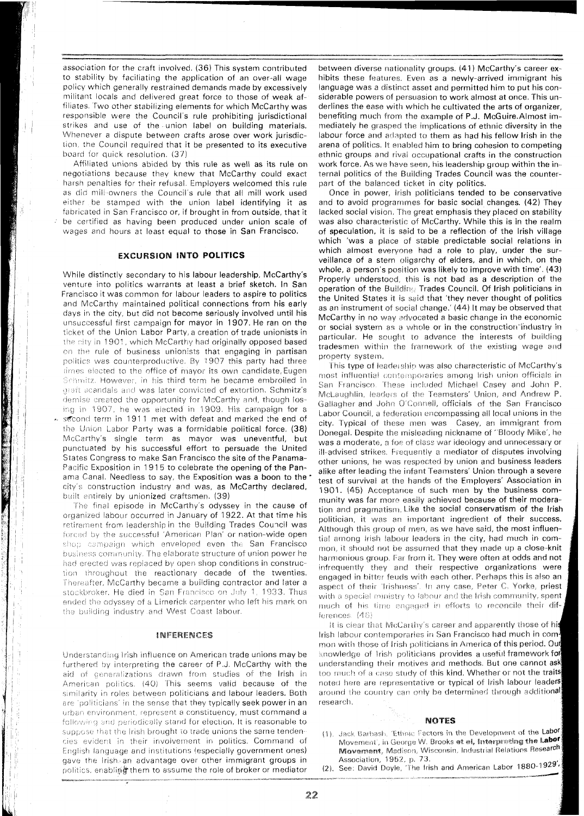association for the craft involved. (36) This system contributed to stability by faciliating the application of an over-all wage policy which generally restrained demands made by excessively militant locals and delivered great force to those of weak affiliates. Two other stabilizing elements for which McCarthy was responsible were the Council's rule prohibiting jurisdictional strikes and use of the union label on building materials. Whenever a dispute between crafts arose over work jurisdiction, the Council required that it be presented to its executive board for quick resolution. (37)

Affiliated unions abided by this rule as well as its rule on negotiations because they knew that McCarthy could exact harsh penalties for their refusal. Employers welcomed this rule as did mill-owners the Council's rule that all mill work used either be stamped with the union label identifying it as fabricated in San Francisco or, if brought in from outside, that it be certified as having been produced under union scale of wages and hours at least equal to those in San Francisco.

#### **EXCURSION INTO POLITICS**

While distinctly secondary to his labour leadership, McCarthy's venture into politics warrants at least a brief sketch. In San Francisco it was common for labour leaders to aspire to politics and McCarthy maintained political connections from his early days in the city, but did not become seriously involved until his unsuccessful first campaign for mayor in 1907. He ran on the ticket of the Union Labor Party, a creation of trade unionists in the city in 1901, which McCarthy had originally opposed based on the rule of business unionists that engaging in partisan politics was counterproductive. By 1907 this party had three times elected to the office of mayor its own candidate, Eugen Schmitz. However, in his third term he became embroiled in draft scandals and was later convicted of extortion. Schmitz's demise created the opportunity for McCarthy and, though losing in 1907, he was elected in 1909. His campaign for a » second term in 1911 met with defeat and marked the end of the Union Labor Party was a formidable political force. (38) McCarthy's single term as mayor was uneventful, but punctuated by his successful effort to persuade the United States Congress to make San Francisco the site of the Panama-Pacific Exposition in 1915 to celebrate the opening of the Panama Canal. Needless to say, the Exposition was a boon to the \* city's construction industry and was, as McCarthy declared, built entirely by unionized craftsmen. (39)

The final episode in McCarthy's odyssey in the cause of organized labour occurred in January of 1922. At that time his retirement from leadership in the Building Trades Council was forced by the successful 'American Plan' or nation-wide open shop campaign which enveloped even the San Francisco business community. The elaborate structure of union power he had erected was replaced by open shop conditions in construction throughout the reactionary decade of the twenties. Thereafter, McCarthy became a building contractor and later a stockbroker. He died in San Francisco on July 1, 1933. Thus ended the odyssey of a Limerick carpenter who left his mark on the building industry and West Coast labour.

#### **INFERENCES**

Understanding Irish influence on American trade unions may be furthered by interpreting the career of P.J. McCarthy with the aid of generalizations drawn from studies of the Irish in American politics. (40) This seems valid because of the similarity in roles between politicians and labour leaders. Both are 'politicians' in the sense that they typically seek power in an urban environment, represent a constituency, must command a following and periodically stand for election. It is reasonable to suppose that the Irish brought to trade unions the same tendencies evident in their involvement in politics. Command of English language and institutions (especially government ones) gave the Irish» an advantage over other immigrant groups in politics, enabligg them to assume the role of broker or mediator

between diverse nationality groups. (41) McCarthy's career exhibits these features. Even as a newly-arrived immigrant his language was a distinct asset and permitted him to put his considerable powers of persuasion to work almost at once. This underlines the ease with which he cultivated the arts of organizer. benefiting much from the example of P.J. McGuire.Almost immediately he grasped the implications of ethnic diversity in the labour force and adapted to them as had his fellow Irish in the arena of politics. It enabled him to bring cohesion to competing ethnic groups and rival occupational crafts in the construction work force. As we have seen, his leadership group within the internal politics of the Building Trades Council was the counterpart of the balanced ticket in city politics.

Once in power, Irish politicians tended to be conservative and to avoid programmes for basic social changes. (42) They lacked social vision. The great emphasis they placed on stability was also characteristic of McCarthy. While this is in the realm of speculation, it is said to be a reflection of the Irish village which 'was a place of stable predictable social relations in which almost everyone had a role to play, under the surveillance of a stern oligarchy of elders, and in which, on the whole, a person's position was likely to improve with time'. (43) Properly understood, this is not bad as a description of the operation of the Building Trades Council. Of Irish politicians in the United States it is said that 'they never thought of politics as an instrument of social change.' (44) It may be observed that McCarthy in no way advocated a basic change in the economic or social system as a whole or in the construction industry in particular. He sought to advance the interests of building tradesmen within the framework of the existing wage and property system.

This type of leadership was also characteristic of McCarthy's most influential contemporaries among Irish union officials in San Francisco. These included Michael Casey and John P. McLaughlin, leaders of the Teamsters' Union, and Andrew P. Gallagher and John O'Connell, officials of the San Francisco Labor Council, a federation encompassing all local unions in the city. Typical of these men was Casey, an immigrant from Donegal. Despite the misleading nickname of "Bloody Mike', he was a moderate, a foe of class war ideology and unnecessary or ill-advised strikes. Frequently a mediator of disputes involving other unions, he was respected by union and business leaders alike after leading the infant Teamsters' Union through a severe test of survival at the hands of the Employers' Association in 1901. (45) Acceptance of such men by the business community was far more easily achieved because of their moderation and pragmatism. Like the social conservatism of the Irish politician, it was an important ingredient of their success. Although this group of men, as we have said, the most influential among trish labour leaders in the city, had much in common, it should not be assumed that they made up a close-knit harmonious group. Far from it. They were often at odds and not infrequently they and their respective organizations were engaged in bitter feuds with each other. Perhaps this is also an aspect of their 'Irishness'. In any case, Peter C. Yorke, priest with a special ministry to labour and the Irish community, spent much of his time engaged in efforts to reconcile their differences. (46)

It is clear that McCarthy's career and apparently those of his Irish labour contemporaries in San Francisco had much in common with those of Irish politicians in America of this period. Out knowledge of Irish politicians provides a useful framework for understanding their motives and methods. But one cannot ask too much of a case study of this kind. Whether or not the traits noted here are representative or typical of Irish labour leaders around the country can only be determined through additional research.

#### **NOTES**

- (1). Jack Barbash, 'Ethnic Factors in the Development of the Labor Movement', in George W. Brooks et el, Interpreting the Labor Movement, Madison, Wisconsin, Industrial Relations Research Association, 1952, p. 73.
- (2). See: David Doyle, The Irish and American Labor 1880-1929'